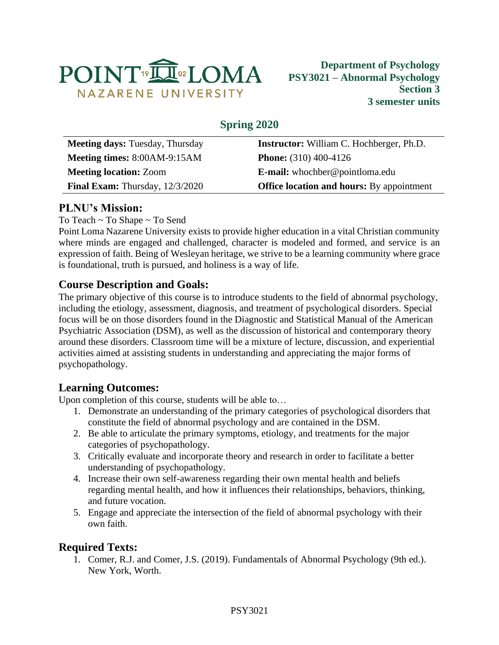

# **Spring 2020**

| <b>Meeting days: Tuesday, Thursday</b>   | <b>Instructor:</b> William C. Hochberger, Ph.D.  |  |  |
|------------------------------------------|--------------------------------------------------|--|--|
| Meeting times: 8:00AM-9:15AM             | <b>Phone:</b> $(310)$ 400-4126                   |  |  |
| <b>Meeting location: Zoom</b>            | <b>E-mail:</b> whochber@pointloma.edu            |  |  |
| <b>Final Exam:</b> Thursday, $12/3/2020$ | <b>Office location and hours:</b> By appointment |  |  |
|                                          |                                                  |  |  |

# **PLNU's Mission:**

### To Teach ~ To Shape ~ To Send

Point Loma Nazarene University exists to provide higher education in a vital Christian community where minds are engaged and challenged, character is modeled and formed, and service is an expression of faith. Being of Wesleyan heritage, we strive to be a learning community where grace is foundational, truth is pursued, and holiness is a way of life.

## **Course Description and Goals:**

The primary objective of this course is to introduce students to the field of abnormal psychology, including the etiology, assessment, diagnosis, and treatment of psychological disorders. Special focus will be on those disorders found in the Diagnostic and Statistical Manual of the American Psychiatric Association (DSM), as well as the discussion of historical and contemporary theory around these disorders. Classroom time will be a mixture of lecture, discussion, and experiential activities aimed at assisting students in understanding and appreciating the major forms of psychopathology.

## **Learning Outcomes:**

Upon completion of this course, students will be able to…

- 1. Demonstrate an understanding of the primary categories of psychological disorders that constitute the field of abnormal psychology and are contained in the DSM.
- 2. Be able to articulate the primary symptoms, etiology, and treatments for the major categories of psychopathology.
- 3. Critically evaluate and incorporate theory and research in order to facilitate a better understanding of psychopathology.
- 4. Increase their own self-awareness regarding their own mental health and beliefs regarding mental health, and how it influences their relationships, behaviors, thinking, and future vocation.
- 5. Engage and appreciate the intersection of the field of abnormal psychology with their own faith.

## **Required Texts:**

1. Comer, R.J. and Comer, J.S. (2019). Fundamentals of Abnormal Psychology (9th ed.). New York, Worth.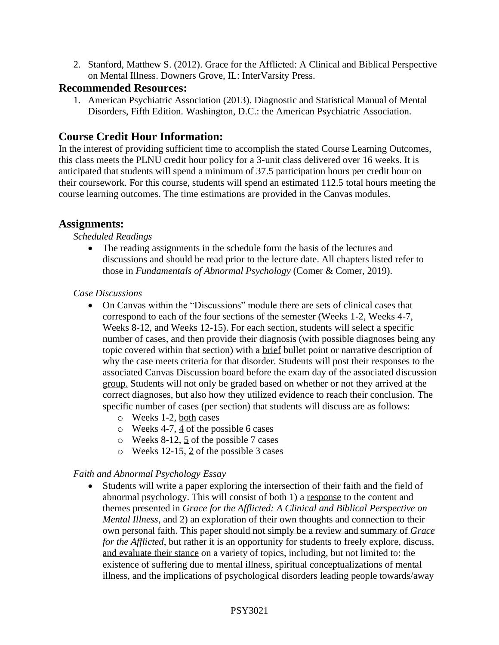2. Stanford, Matthew S. (2012). Grace for the Afflicted: A Clinical and Biblical Perspective on Mental Illness. Downers Grove, IL: InterVarsity Press.

### **Recommended Resources:**

1. American Psychiatric Association (2013). Diagnostic and Statistical Manual of Mental Disorders, Fifth Edition. Washington, D.C.: the American Psychiatric Association.

## **Course Credit Hour Information:**

In the interest of providing sufficient time to accomplish the stated Course Learning Outcomes, this class meets the PLNU credit hour policy for a 3-unit class delivered over 16 weeks. It is anticipated that students will spend a minimum of 37.5 participation hours per credit hour on their coursework. For this course, students will spend an estimated 112.5 total hours meeting the course learning outcomes. The time estimations are provided in the Canvas modules.

## **Assignments:**

*Scheduled Readings*

• The reading assignments in the schedule form the basis of the lectures and discussions and should be read prior to the lecture date. All chapters listed refer to those in *Fundamentals of Abnormal Psychology* (Comer & Comer, 2019).

### *Case Discussions*

- On Canvas within the "Discussions" module there are sets of clinical cases that correspond to each of the four sections of the semester (Weeks 1-2, Weeks 4-7, Weeks 8-12, and Weeks 12-15). For each section, students will select a specific number of cases, and then provide their diagnosis (with possible diagnoses being any topic covered within that section) with a brief bullet point or narrative description of why the case meets criteria for that disorder. Students will post their responses to the associated Canvas Discussion board before the exam day of the associated discussion group. Students will not only be graded based on whether or not they arrived at the correct diagnoses, but also how they utilized evidence to reach their conclusion. The specific number of cases (per section) that students will discuss are as follows:
	- o Weeks 1-2, both cases
	- o Weeks 4-7, 4 of the possible 6 cases
	- o Weeks 8-12, 5 of the possible 7 cases
	- o Weeks 12-15, 2 of the possible 3 cases

### *Faith and Abnormal Psychology Essay*

• Students will write a paper exploring the intersection of their faith and the field of abnormal psychology. This will consist of both 1) a response to the content and themes presented in *Grace for the Afflicted: A Clinical and Biblical Perspective on Mental Illness*, and 2) an exploration of their own thoughts and connection to their own personal faith. This paper should not simply be a review and summary of *Grace for the Afflicted*, but rather it is an opportunity for students to freely explore, discuss, and evaluate their stance on a variety of topics, including, but not limited to: the existence of suffering due to mental illness, spiritual conceptualizations of mental illness, and the implications of psychological disorders leading people towards/away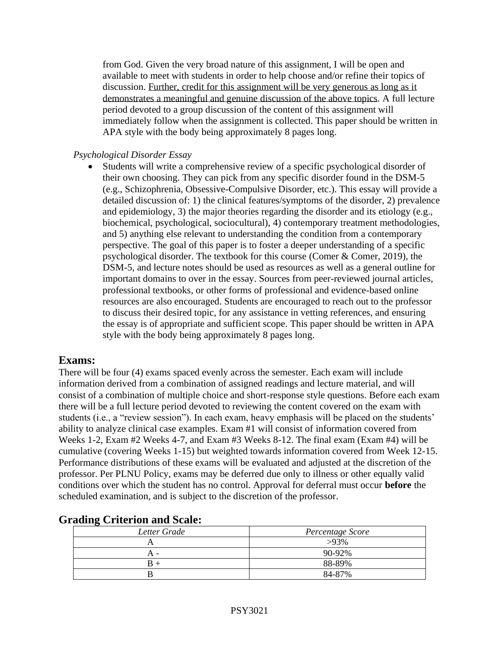from God. Given the very broad nature of this assignment, I will be open and available to meet with students in order to help choose and/or refine their topics of discussion. Further, credit for this assignment will be very generous as long as it demonstrates a meaningful and genuine discussion of the above topics. A full lecture period devoted to a group discussion of the content of this assignment will immediately follow when the assignment is collected. This paper should be written in APA style with the body being approximately 8 pages long.

#### *Psychological Disorder Essay*

• Students will write a comprehensive review of a specific psychological disorder of their own choosing. They can pick from any specific disorder found in the DSM-5 (e.g., Schizophrenia, Obsessive-Compulsive Disorder, etc.). This essay will provide a detailed discussion of: 1) the clinical features/symptoms of the disorder, 2) prevalence and epidemiology, 3) the major theories regarding the disorder and its etiology (e.g., biochemical, psychological, sociocultural), 4) contemporary treatment methodologies, and 5) anything else relevant to understanding the condition from a contemporary perspective. The goal of this paper is to foster a deeper understanding of a specific psychological disorder. The textbook for this course (Comer & Comer, 2019), the DSM-5, and lecture notes should be used as resources as well as a general outline for important domains to over in the essay. Sources from peer-reviewed journal articles, professional textbooks, or other forms of professional and evidence-based online resources are also encouraged. Students are encouraged to reach out to the professor to discuss their desired topic, for any assistance in vetting references, and ensuring the essay is of appropriate and sufficient scope. This paper should be written in APA style with the body being approximately 8 pages long.

### **Exams:**

There will be four (4) exams spaced evenly across the semester. Each exam will include information derived from a combination of assigned readings and lecture material, and will consist of a combination of multiple choice and short-response style questions. Before each exam there will be a full lecture period devoted to reviewing the content covered on the exam with students (i.e., a "review session"). In each exam, heavy emphasis will be placed on the students' ability to analyze clinical case examples. Exam #1 will consist of information covered from Weeks 1-2, Exam #2 Weeks 4-7, and Exam #3 Weeks 8-12. The final exam (Exam #4) will be cumulative (covering Weeks 1-15) but weighted towards information covered from Week 12-15. Performance distributions of these exams will be evaluated and adjusted at the discretion of the professor. Per PLNU Policy, exams may be deferred due only to illness or other equally valid conditions over which the student has no control. Approval for deferral must occur **before** the scheduled examination, and is subject to the discretion of the professor.

| -------      |                  |
|--------------|------------------|
| Letter Grade | Percentage Score |
|              | $>93\%$          |
| -            | 90-92%           |
|              | 88-89%           |
|              | 84-87%           |

### **Grading Criterion and Scale:**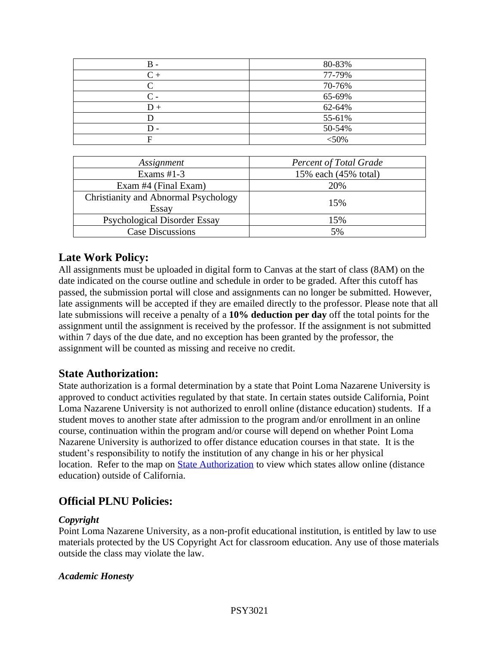| B.    | 80-83%  |
|-------|---------|
| $C +$ | 77-79%  |
| ⌒     | 70-76%  |
| C -   | 65-69%  |
| $D +$ | 62-64%  |
|       | 55-61%  |
| D.    | 50-54%  |
|       | $<$ 50% |
|       |         |

| Assignment                                    | <b>Percent of Total Grade</b> |  |  |
|-----------------------------------------------|-------------------------------|--|--|
| Exams $#1-3$                                  | 15% each (45% total)          |  |  |
| Exam #4 (Final Exam)                          | 20%                           |  |  |
| Christianity and Abnormal Psychology<br>Essay | 15%                           |  |  |
| <b>Psychological Disorder Essay</b>           | 15%                           |  |  |
| <b>Case Discussions</b>                       | 5%                            |  |  |
|                                               |                               |  |  |

## **Late Work Policy:**

All assignments must be uploaded in digital form to Canvas at the start of class (8AM) on the date indicated on the course outline and schedule in order to be graded. After this cutoff has passed, the submission portal will close and assignments can no longer be submitted. However, late assignments will be accepted if they are emailed directly to the professor. Please note that all late submissions will receive a penalty of a **10% deduction per day** off the total points for the assignment until the assignment is received by the professor. If the assignment is not submitted within 7 days of the due date, and no exception has been granted by the professor, the assignment will be counted as missing and receive no credit.

## **State Authorization:**

State authorization is a formal determination by a state that Point Loma Nazarene University is approved to conduct activities regulated by that state. In certain states outside California, Point Loma Nazarene University is not authorized to enroll online (distance education) students. If a student moves to another state after admission to the program and/or enrollment in an online course, continuation within the program and/or course will depend on whether Point Loma Nazarene University is authorized to offer distance education courses in that state. It is the student's responsibility to notify the institution of any change in his or her physical location. Refer to the map on **State Authorization** to view which states allow online (distance education) outside of California.

## **Official PLNU Policies:**

#### *Copyright*

Point Loma Nazarene University, as a non-profit educational institution, is entitled by law to use materials protected by the US Copyright Act for classroom education. Any use of those materials outside the class may violate the law.

#### *Academic Honesty*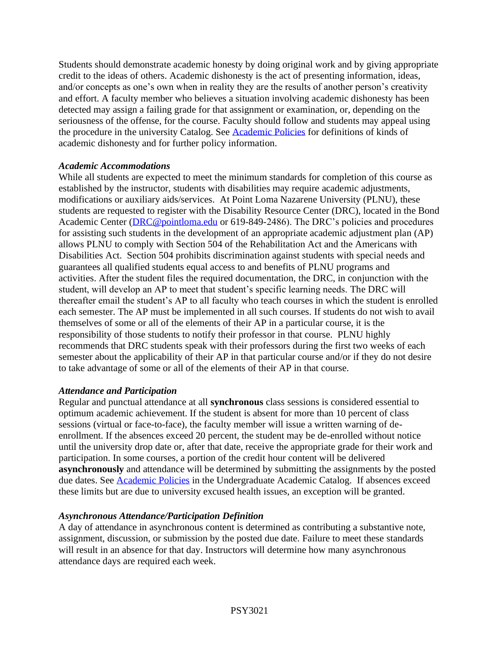Students should demonstrate academic honesty by doing original work and by giving appropriate credit to the ideas of others. Academic dishonesty is the act of presenting information, ideas, and/or concepts as one's own when in reality they are the results of another person's creativity and effort. A faculty member who believes a situation involving academic dishonesty has been detected may assign a failing grade for that assignment or examination, or, depending on the seriousness of the offense, for the course. Faculty should follow and students may appeal using the procedure in the university Catalog. See [Academic Policies](https://catalog.pointloma.edu/content.php?catoid=41&navoid=2435#Academic_Honesty) for definitions of kinds of academic dishonesty and for further policy information.

#### *Academic Accommodations*

While all students are expected to meet the minimum standards for completion of this course as established by the instructor, students with disabilities may require academic adjustments, modifications or auxiliary aids/services. At Point Loma Nazarene University (PLNU), these students are requested to register with the Disability Resource Center (DRC), located in the Bond Academic Center [\(DRC@pointloma.edu](mailto:DRC@pointloma.edu) or 619-849-2486). The DRC's policies and procedures for assisting such students in the development of an appropriate academic adjustment plan (AP) allows PLNU to comply with Section 504 of the Rehabilitation Act and the Americans with Disabilities Act. Section 504 prohibits discrimination against students with special needs and guarantees all qualified students equal access to and benefits of PLNU programs and activities. After the student files the required documentation, the DRC, in conjunction with the student, will develop an AP to meet that student's specific learning needs. The DRC will thereafter email the student's AP to all faculty who teach courses in which the student is enrolled each semester. The AP must be implemented in all such courses. If students do not wish to avail themselves of some or all of the elements of their AP in a particular course, it is the responsibility of those students to notify their professor in that course. PLNU highly recommends that DRC students speak with their professors during the first two weeks of each semester about the applicability of their AP in that particular course and/or if they do not desire to take advantage of some or all of the elements of their AP in that course.

#### *Attendance and Participation*

Regular and punctual attendance at all **synchronous** class sessions is considered essential to optimum academic achievement. If the student is absent for more than 10 percent of class sessions (virtual or face-to-face), the faculty member will issue a written warning of deenrollment. If the absences exceed 20 percent, the student may be de-enrolled without notice until the university drop date or, after that date, receive the appropriate grade for their work and participation. In some courses, a portion of the credit hour content will be delivered **asynchronously** and attendance will be determined by submitting the assignments by the posted due dates. See [Academic Policies](https://catalog.pointloma.edu/content.php?catoid=46&navoid=2650#Class_Attendance) in the Undergraduate Academic Catalog. If absences exceed these limits but are due to university excused health issues, an exception will be granted.

### *Asynchronous Attendance/Participation Definition*

A day of attendance in asynchronous content is determined as contributing a substantive note, assignment, discussion, or submission by the posted due date. Failure to meet these standards will result in an absence for that day. Instructors will determine how many asynchronous attendance days are required each week.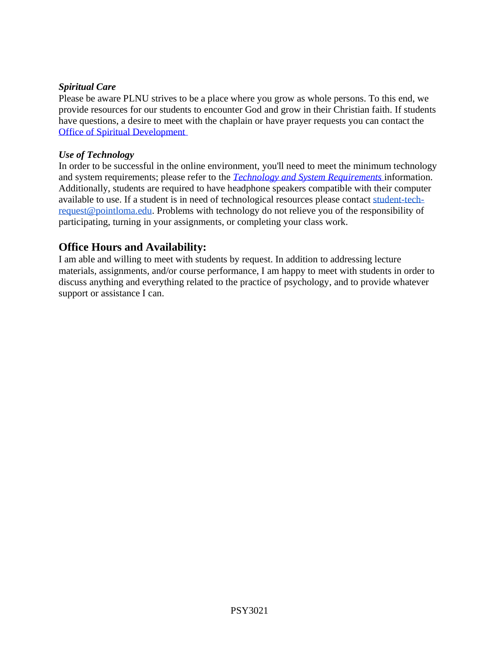#### *Spiritual Care*

Please be aware PLNU strives to be a place where you grow as whole persons. To this end, we provide resources for our students to encounter God and grow in their Christian faith. If students have questions, a desire to meet with the chaplain or have prayer requests you can contact the [Office of Spiritual Development](https://www.pointloma.edu/offices/spiritual-development)

#### *Use of Technology*

In order to be successful in the online environment, you'll need to meet the minimum technology and system requirements; please refer to the *[Technology and System Requirements](https://help.pointloma.edu/TDClient/1808/Portal/KB/ArticleDet?ID=108349)* information. Additionally, students are required to have headphone speakers compatible with their computer available to use. If a student is in need of technological resources please contact [student-tech](mailto:student-tech-request@pointloma.edu)[request@pointloma.edu.](mailto:student-tech-request@pointloma.edu) Problems with technology do not relieve you of the responsibility of participating, turning in your assignments, or completing your class work.

## **Office Hours and Availability:**

I am able and willing to meet with students by request. In addition to addressing lecture materials, assignments, and/or course performance, I am happy to meet with students in order to discuss anything and everything related to the practice of psychology, and to provide whatever support or assistance I can.